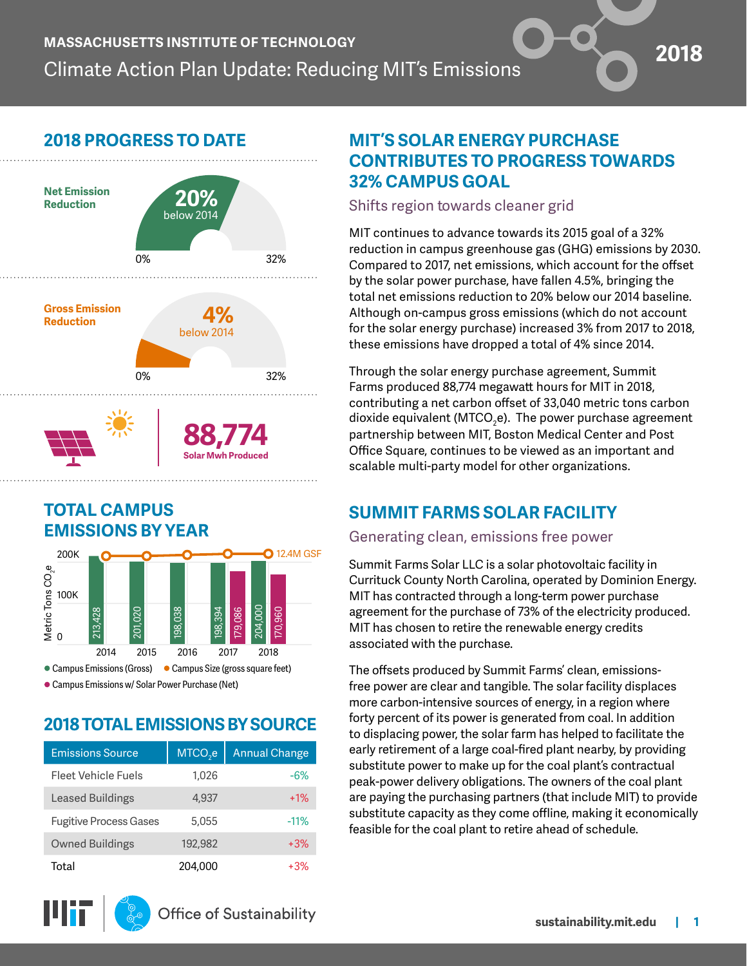# **2018 PROGRESS TO DATE**



### **TOTAL CAMPUS EMISSIONS BY YEAR**



Campus Emissions w/ Solar Power Purchase (Net)

## **2018 TOTAL EMISSIONS BY SOURCE**

| <b>Emissions Source</b>       | MTCO <sub>2</sub> e | <b>Annual Change</b> |
|-------------------------------|---------------------|----------------------|
| Fleet Vehicle Fuels           | 1.026               | -6%                  |
| <b>Leased Buildings</b>       | 4,937               | $+1%$                |
| <b>Fugitive Process Gases</b> | 5,055               | $-11%$               |
| <b>Owned Buildings</b>        | 192,982             | $+3%$                |
| Total                         | 204,000             | $+3%$                |

## **MIT'S SOLAR ENERGY PURCHASE CONTRIBUTES TO PROGRESS TOWARDS 32% CAMPUS GOAL**

 $\bullet$ 

Shifts region towards cleaner grid

MIT continues to advance towards its 2015 goal of a 32% reduction in campus greenhouse gas (GHG) emissions by 2030. Compared to 2017, net emissions, which account for the offset by the solar power purchase, have fallen 4.5%, bringing the total net emissions reduction to 20% below our 2014 baseline. Although on-campus gross emissions (which do not account for the solar energy purchase) increased 3% from 2017 to 2018, these emissions have dropped a total of 4% since 2014.

Through the solar energy purchase agreement, Summit Farms produced 88,774 megawatt hours for MIT in 2018, contributing a net carbon offset of 33,040 metric tons carbon dioxide equivalent (MTCO $_2$ e). The power purchase agreement partnership between MIT, Boston Medical Center and Post Office Square, continues to be viewed as an important and scalable multi-party model for other organizations.

## **SUMMIT FARMS SOLAR FACILITY**

#### Generating clean, emissions free power

Summit Farms Solar LLC is a solar photovoltaic facility in Currituck County North Carolina, operated by Dominion Energy. MIT has contracted through a long-term power purchase agreement for the purchase of 73% of the electricity produced. MIT has chosen to retire the renewable energy credits associated with the purchase.

The offsets produced by Summit Farms' clean, emissionsfree power are clear and tangible. The solar facility displaces more carbon-intensive sources of energy, in a region where forty percent of its power is generated from coal. In addition to displacing power, the solar farm has helped to facilitate the early retirement of a large coal-fired plant nearby, by providing substitute power to make up for the coal plant's contractual peak-power delivery obligations. The owners of the coal plant are paying the purchasing partners (that include MIT) to provide substitute capacity as they come offline, making it economically feasible for the coal plant to retire ahead of schedule.